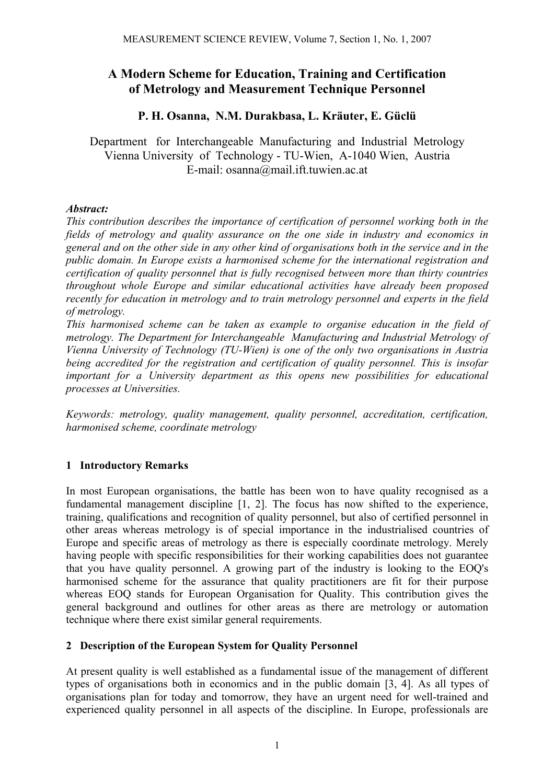# **A Modern Scheme for Education, Training and Certification of Metrology and Measurement Technique Personnel**

# **P. H. Osanna, N.M. Durakbasa, L. Kräuter, E. Güclü**

Department for Interchangeable Manufacturing and Industrial Metrology Vienna University of Technology - TU-Wien, A-1040 Wien, Austria E-mail: osanna@mail.ift.tuwien.ac.at

## *Abstract:*

*This contribution describes the importance of certification of personnel working both in the fields of metrology and quality assurance on the one side in industry and economics in general and on the other side in any other kind of organisations both in the service and in the public domain. In Europe exists a harmonised scheme for the international registration and certification of quality personnel that is fully recognised between more than thirty countries throughout whole Europe and similar educational activities have already been proposed recently for education in metrology and to train metrology personnel and experts in the field of metrology.* 

*This harmonised scheme can be taken as example to organise education in the field of metrology. The Department for Interchangeable Manufacturing and Industrial Metrology of Vienna University of Technology (TU-Wien) is one of the only two organisations in Austria being accredited for the registration and certification of quality personnel. This is insofar important for a University department as this opens new possibilities for educational processes at Universities.* 

*Keywords: metrology, quality management, quality personnel, accreditation, certification, harmonised scheme, coordinate metrology* 

# **1 Introductory Remarks**

In most European organisations, the battle has been won to have quality recognised as a fundamental management discipline [1, 2]. The focus has now shifted to the experience, training, qualifications and recognition of quality personnel, but also of certified personnel in other areas whereas metrology is of special importance in the industrialised countries of Europe and specific areas of metrology as there is especially coordinate metrology. Merely having people with specific responsibilities for their working capabilities does not guarantee that you have quality personnel. A growing part of the industry is looking to the EOQ's harmonised scheme for the assurance that quality practitioners are fit for their purpose whereas EOQ stands for European Organisation for Quality. This contribution gives the general background and outlines for other areas as there are metrology or automation technique where there exist similar general requirements.

# **2 Description of the European System for Quality Personnel**

At present quality is well established as a fundamental issue of the management of different types of organisations both in economics and in the public domain [3, 4]. As all types of organisations plan for today and tomorrow, they have an urgent need for well-trained and experienced quality personnel in all aspects of the discipline. In Europe, professionals are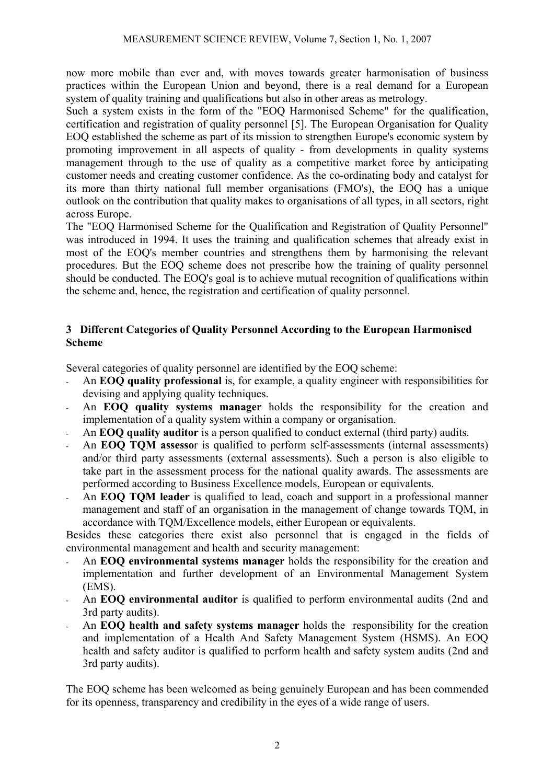now more mobile than ever and, with moves towards greater harmonisation of business practices within the European Union and beyond, there is a real demand for a European system of quality training and qualifications but also in other areas as metrology.

Such a system exists in the form of the "EOQ Harmonised Scheme" for the qualification, certification and registration of quality personnel [5]. The European Organisation for Quality EOQ established the scheme as part of its mission to strengthen Europe's economic system by promoting improvement in all aspects of quality - from developments in quality systems management through to the use of quality as a competitive market force by anticipating customer needs and creating customer confidence. As the co-ordinating body and catalyst for its more than thirty national full member organisations (FMO's), the EOQ has a unique outlook on the contribution that quality makes to organisations of all types, in all sectors, right across Europe.

The "EOQ Harmonised Scheme for the Qualification and Registration of Quality Personnel" was introduced in 1994. It uses the training and qualification schemes that already exist in most of the EOQ's member countries and strengthens them by harmonising the relevant procedures. But the EOQ scheme does not prescribe how the training of quality personnel should be conducted. The EOQ's goal is to achieve mutual recognition of qualifications within the scheme and, hence, the registration and certification of quality personnel.

### **3 Different Categories of Quality Personnel According to the European Harmonised Scheme**

Several categories of quality personnel are identified by the EOQ scheme:

- An **EOQ quality professional** is, for example, a quality engineer with responsibilities for devising and applying quality techniques.
- An **EOQ quality systems manager** holds the responsibility for the creation and implementation of a quality system within a company or organisation.
- An **EOQ quality auditor** is a person qualified to conduct external (third party) audits.
- An **EOQ TQM assesso**r is qualified to perform self-assessments (internal assessments) and/or third party assessments (external assessments). Such a person is also eligible to take part in the assessment process for the national quality awards. The assessments are performed according to Business Excellence models, European or equivalents.
- An **EOQ TQM leader** is qualified to lead, coach and support in a professional manner management and staff of an organisation in the management of change towards TQM, in accordance with TQM/Excellence models, either European or equivalents.

Besides these categories there exist also personnel that is engaged in the fields of environmental management and health and security management:

- An **EOQ environmental systems manager** holds the responsibility for the creation and implementation and further development of an Environmental Management System (EMS).
- An **EOQ environmental auditor** is qualified to perform environmental audits (2nd and 3rd party audits).
- An **EOQ health and safety systems manager** holds the responsibility for the creation and implementation of a Health And Safety Management System (HSMS). An EOQ health and safety auditor is qualified to perform health and safety system audits (2nd and 3rd party audits).

The EOQ scheme has been welcomed as being genuinely European and has been commended for its openness, transparency and credibility in the eyes of a wide range of users.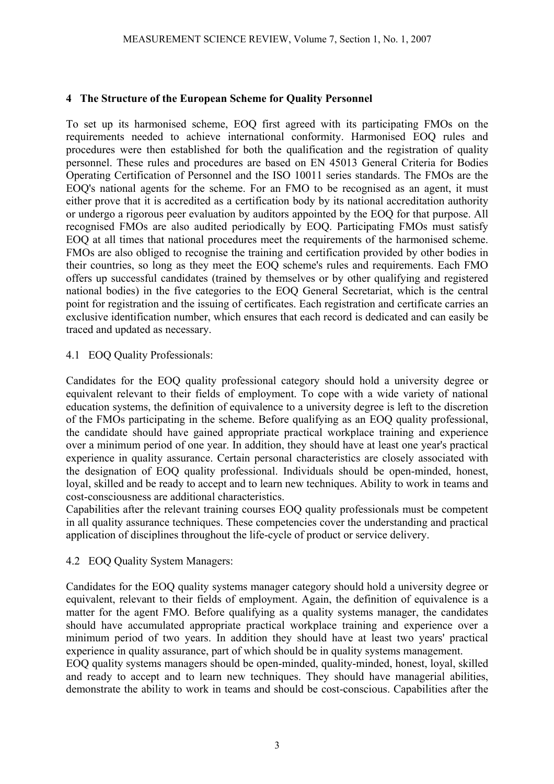### **4 The Structure of the European Scheme for Quality Personnel**

To set up its harmonised scheme, EOQ first agreed with its participating FMOs on the requirements needed to achieve international conformity. Harmonised EOQ rules and procedures were then established for both the qualification and the registration of quality personnel. These rules and procedures are based on EN 45013 General Criteria for Bodies Operating Certification of Personnel and the ISO 10011 series standards. The FMOs are the EOQ's national agents for the scheme. For an FMO to be recognised as an agent, it must either prove that it is accredited as a certification body by its national accreditation authority or undergo a rigorous peer evaluation by auditors appointed by the EOQ for that purpose. All recognised FMOs are also audited periodically by EOQ. Participating FMOs must satisfy EOQ at all times that national procedures meet the requirements of the harmonised scheme. FMOs are also obliged to recognise the training and certification provided by other bodies in their countries, so long as they meet the EOQ scheme's rules and requirements. Each FMO offers up successful candidates (trained by themselves or by other qualifying and registered national bodies) in the five categories to the EOQ General Secretariat, which is the central point for registration and the issuing of certificates. Each registration and certificate carries an exclusive identification number, which ensures that each record is dedicated and can easily be traced and updated as necessary.

#### 4.1 EOQ Quality Professionals:

Candidates for the EOQ quality professional category should hold a university degree or equivalent relevant to their fields of employment. To cope with a wide variety of national education systems, the definition of equivalence to a university degree is left to the discretion of the FMOs participating in the scheme. Before qualifying as an EOQ quality professional, the candidate should have gained appropriate practical workplace training and experience over a minimum period of one year. In addition, they should have at least one year's practical experience in quality assurance. Certain personal characteristics are closely associated with the designation of EOQ quality professional. Individuals should be open-minded, honest, loyal, skilled and be ready to accept and to learn new techniques. Ability to work in teams and cost-consciousness are additional characteristics.

Capabilities after the relevant training courses EOQ quality professionals must be competent in all quality assurance techniques. These competencies cover the understanding and practical application of disciplines throughout the life-cycle of product or service delivery.

#### 4.2 EOQ Quality System Managers:

Candidates for the EOQ quality systems manager category should hold a university degree or equivalent, relevant to their fields of employment. Again, the definition of equivalence is a matter for the agent FMO. Before qualifying as a quality systems manager, the candidates should have accumulated appropriate practical workplace training and experience over a minimum period of two years. In addition they should have at least two years' practical experience in quality assurance, part of which should be in quality systems management. EOQ quality systems managers should be open-minded, quality-minded, honest, loyal, skilled and ready to accept and to learn new techniques. They should have managerial abilities, demonstrate the ability to work in teams and should be cost-conscious. Capabilities after the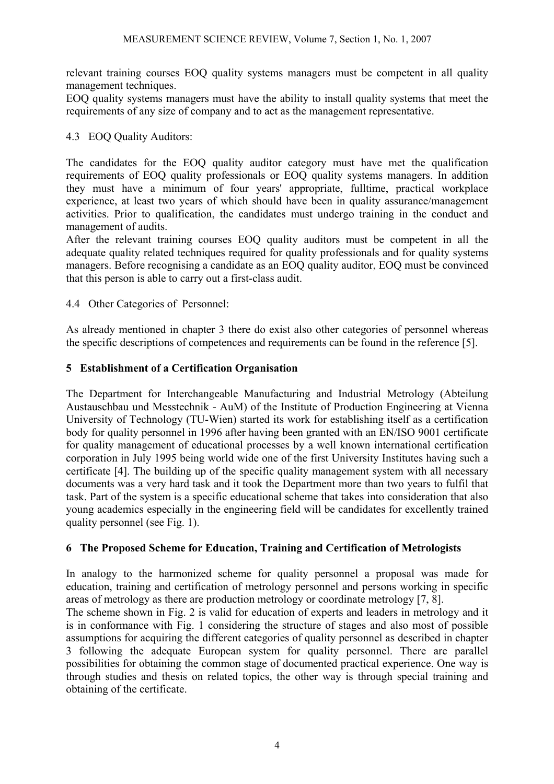relevant training courses EOQ quality systems managers must be competent in all quality management techniques.

EOQ quality systems managers must have the ability to install quality systems that meet the requirements of any size of company and to act as the management representative.

### 4.3 EOQ Quality Auditors:

The candidates for the EOQ quality auditor category must have met the qualification requirements of EOQ quality professionals or EOQ quality systems managers. In addition they must have a minimum of four years' appropriate, fulltime, practical workplace experience, at least two years of which should have been in quality assurance/management activities. Prior to qualification, the candidates must undergo training in the conduct and management of audits.

After the relevant training courses EOQ quality auditors must be competent in all the adequate quality related techniques required for quality professionals and for quality systems managers. Before recognising a candidate as an EOQ quality auditor, EOQ must be convinced that this person is able to carry out a first-class audit.

#### 4.4 Other Categories of Personnel:

As already mentioned in chapter 3 there do exist also other categories of personnel whereas the specific descriptions of competences and requirements can be found in the reference [5].

## **5 Establishment of a Certification Organisation**

The Department for Interchangeable Manufacturing and Industrial Metrology (Abteilung Austauschbau und Messtechnik - AuM) of the Institute of Production Engineering at Vienna University of Technology (TU-Wien) started its work for establishing itself as a certification body for quality personnel in 1996 after having been granted with an EN/ISO 9001 certificate for quality management of educational processes by a well known international certification corporation in July 1995 being world wide one of the first University Institutes having such a certificate [4]. The building up of the specific quality management system with all necessary documents was a very hard task and it took the Department more than two years to fulfil that task. Part of the system is a specific educational scheme that takes into consideration that also young academics especially in the engineering field will be candidates for excellently trained quality personnel (see Fig. 1).

#### **6 The Proposed Scheme for Education, Training and Certification of Metrologists**

In analogy to the harmonized scheme for quality personnel a proposal was made for education, training and certification of metrology personnel and persons working in specific areas of metrology as there are production metrology or coordinate metrology [7, 8].

The scheme shown in Fig. 2 is valid for education of experts and leaders in metrology and it is in conformance with Fig. 1 considering the structure of stages and also most of possible assumptions for acquiring the different categories of quality personnel as described in chapter 3 following the adequate European system for quality personnel. There are parallel possibilities for obtaining the common stage of documented practical experience. One way is through studies and thesis on related topics, the other way is through special training and obtaining of the certificate.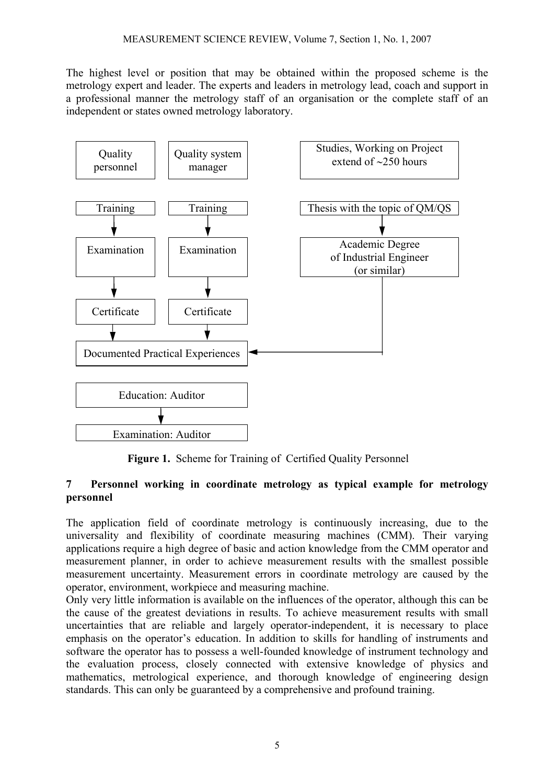The highest level or position that may be obtained within the proposed scheme is the metrology expert and leader. The experts and leaders in metrology lead, coach and support in a professional manner the metrology staff of an organisation or the complete staff of an independent or states owned metrology laboratory.



 **Figure 1.** Scheme for Training of Certified Quality Personnel

#### **7 Personnel working in coordinate metrology as typical example for metrology personnel**

The application field of coordinate metrology is continuously increasing, due to the universality and flexibility of coordinate measuring machines (CMM). Their varying applications require a high degree of basic and action knowledge from the CMM operator and measurement planner, in order to achieve measurement results with the smallest possible measurement uncertainty. Measurement errors in coordinate metrology are caused by the operator, environment, workpiece and measuring machine.

Only very little information is available on the influences of the operator, although this can be the cause of the greatest deviations in results. To achieve measurement results with small uncertainties that are reliable and largely operator-independent, it is necessary to place emphasis on the operator's education. In addition to skills for handling of instruments and software the operator has to possess a well-founded knowledge of instrument technology and the evaluation process, closely connected with extensive knowledge of physics and mathematics, metrological experience, and thorough knowledge of engineering design standards. This can only be guaranteed by a comprehensive and profound training.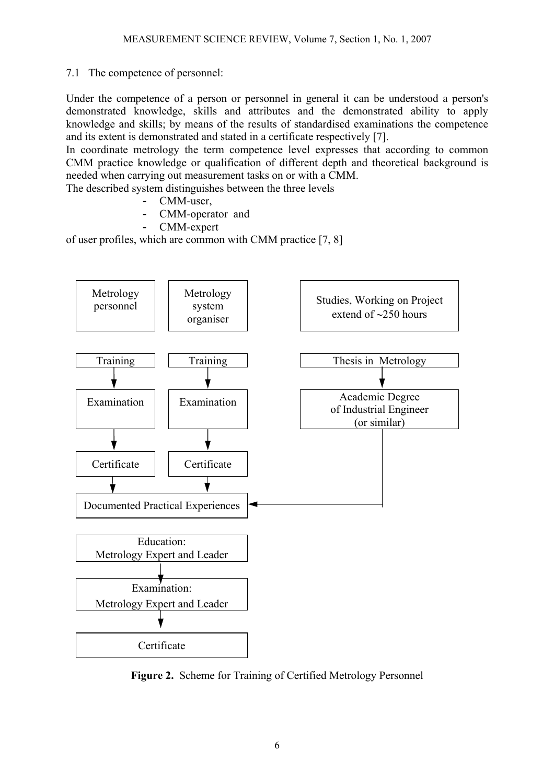## 7.1 The competence of personnel:

Under the competence of a person or personnel in general it can be understood a person's demonstrated knowledge, skills and attributes and the demonstrated ability to apply knowledge and skills; by means of the results of standardised examinations the competence and its extent is demonstrated and stated in a certificate respectively [7].

In coordinate metrology the term competence level expresses that according to common CMM practice knowledge or qualification of different depth and theoretical background is needed when carrying out measurement tasks on or with a CMM.

The described system distinguishes between the three levels

- CMM-user,
- CMM-operator and
- CMM-expert

of user profiles, which are common with CMM practice [7, 8]



**Figure 2.** Scheme for Training of Certified Metrology Personnel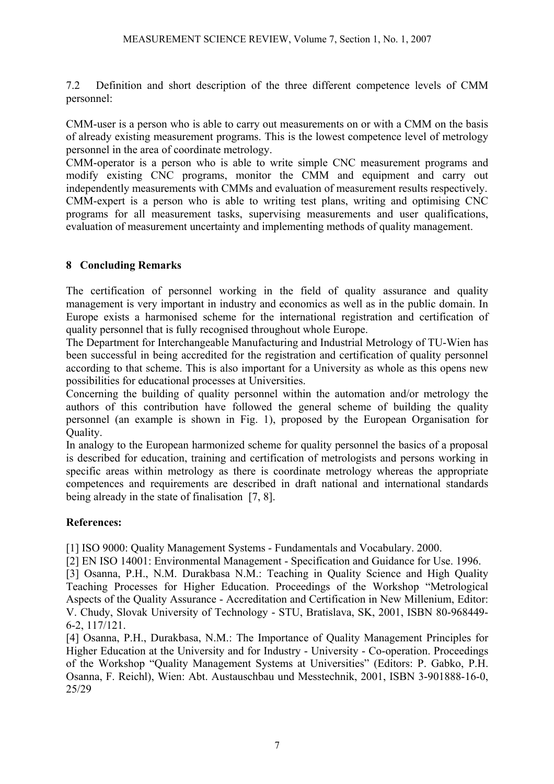7.2 Definition and short description of the three different competence levels of CMM personnel:

CMM-user is a person who is able to carry out measurements on or with a CMM on the basis of already existing measurement programs. This is the lowest competence level of metrology personnel in the area of coordinate metrology.

CMM-operator is a person who is able to write simple CNC measurement programs and modify existing CNC programs, monitor the CMM and equipment and carry out independently measurements with CMMs and evaluation of measurement results respectively. CMM-expert is a person who is able to writing test plans, writing and optimising CNC programs for all measurement tasks, supervising measurements and user qualifications, evaluation of measurement uncertainty and implementing methods of quality management.

## **8 Concluding Remarks**

The certification of personnel working in the field of quality assurance and quality management is very important in industry and economics as well as in the public domain. In Europe exists a harmonised scheme for the international registration and certification of quality personnel that is fully recognised throughout whole Europe.

The Department for Interchangeable Manufacturing and Industrial Metrology of TU-Wien has been successful in being accredited for the registration and certification of quality personnel according to that scheme. This is also important for a University as whole as this opens new possibilities for educational processes at Universities.

Concerning the building of quality personnel within the automation and/or metrology the authors of this contribution have followed the general scheme of building the quality personnel (an example is shown in Fig. 1), proposed by the European Organisation for Quality.

In analogy to the European harmonized scheme for quality personnel the basics of a proposal is described for education, training and certification of metrologists and persons working in specific areas within metrology as there is coordinate metrology whereas the appropriate competences and requirements are described in draft national and international standards being already in the state of finalisation [7, 8].

# **References:**

[1] ISO 9000: Quality Management Systems - Fundamentals and Vocabulary. 2000.

[2] EN ISO 14001: Environmental Management - Specification and Guidance for Use. 1996.

[3] Osanna, P.H., N.M. Durakbasa N.M.: Teaching in Quality Science and High Quality Teaching Processes for Higher Education. Proceedings of the Workshop "Metrological Aspects of the Quality Assurance - Accreditation and Certification in New Millenium, Editor: V. Chudy, Slovak University of Technology - STU, Bratislava, SK, 2001, ISBN 80-968449- 6-2, 117/121.

[4] Osanna, P.H., Durakbasa, N.M.: The Importance of Quality Management Principles for Higher Education at the University and for Industry - University - Co-operation. Proceedings of the Workshop "Quality Management Systems at Universities" (Editors: P. Gabko, P.H. Osanna, F. Reichl), Wien: Abt. Austauschbau und Messtechnik, 2001, ISBN 3-901888-16-0, 25/29